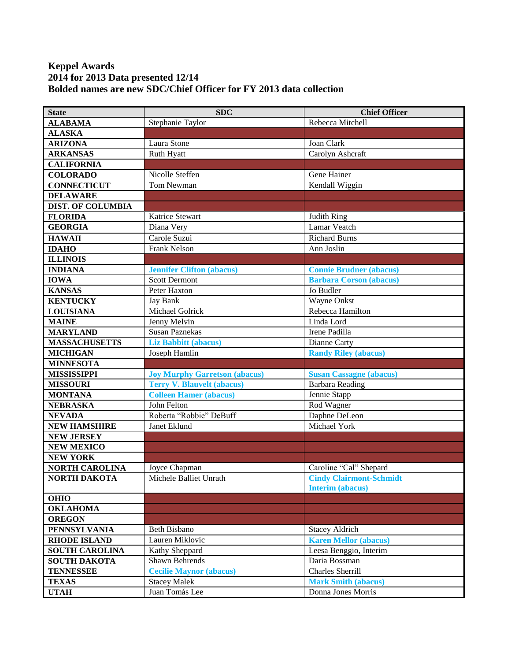## **Keppel Awards 2014 for 2013 Data presented 12/14 Bolded names are new SDC/Chief Officer for FY 2013 data collection**

| <b>State</b>             | <b>SDC</b>                           | <b>Chief Officer</b>           |
|--------------------------|--------------------------------------|--------------------------------|
| <b>ALABAMA</b>           | Stephanie Taylor                     | Rebecca Mitchell               |
| <b>ALASKA</b>            |                                      |                                |
| <b>ARIZONA</b>           | Laura Stone                          | Joan Clark                     |
| <b>ARKANSAS</b>          | Ruth Hyatt                           | Carolyn Ashcraft               |
| <b>CALIFORNIA</b>        |                                      |                                |
| <b>COLORADO</b>          | Nicolle Steffen                      | Gene Hainer                    |
| <b>CONNECTICUT</b>       | Tom Newman                           | Kendall Wiggin                 |
| <b>DELAWARE</b>          |                                      |                                |
| <b>DIST. OF COLUMBIA</b> |                                      |                                |
| <b>FLORIDA</b>           | Katrice Stewart                      | Judith Ring                    |
| <b>GEORGIA</b>           | Diana Very                           | Lamar Veatch                   |
| <b>HAWAII</b>            | Carole Suzui                         | <b>Richard Burns</b>           |
| <b>IDAHO</b>             | Frank Nelson                         | Ann Joslin                     |
| <b>ILLINOIS</b>          |                                      |                                |
| <b>INDIANA</b>           | <b>Jennifer Clifton (abacus)</b>     | <b>Connie Brudner (abacus)</b> |
| <b>IOWA</b>              | <b>Scott Dermont</b>                 | <b>Barbara Corson (abacus)</b> |
| <b>KANSAS</b>            | Peter Haxton                         | Jo Budler                      |
| <b>KENTUCKY</b>          | Jay Bank                             | Wayne Onkst                    |
| <b>LOUISIANA</b>         | Michael Golrick                      | Rebecca Hamilton               |
| <b>MAINE</b>             | Jenny Melvin                         | Linda Lord                     |
| <b>MARYLAND</b>          | <b>Susan Paznekas</b>                | Irene Padilla                  |
| <b>MASSACHUSETTS</b>     | <b>Liz Babbitt (abacus)</b>          | Dianne Carty                   |
| <b>MICHIGAN</b>          | Joseph Hamlin                        | <b>Randy Riley (abacus)</b>    |
| <b>MINNESOTA</b>         |                                      |                                |
| <b>MISSISSIPPI</b>       | <b>Joy Murphy Garretson (abacus)</b> | <b>Susan Cassagne (abacus)</b> |
| <b>MISSOURI</b>          | <b>Terry V. Blauvelt (abacus)</b>    | <b>Barbara Reading</b>         |
| <b>MONTANA</b>           | <b>Colleen Hamer (abacus)</b>        | Jennie Stapp                   |
| <b>NEBRASKA</b>          | John Felton                          | Rod Wagner                     |
| <b>NEVADA</b>            | Roberta "Robbie" DeBuff              | Daphne DeLeon                  |
| <b>NEW HAMSHIRE</b>      | Janet Eklund                         | Michael York                   |
| <b>NEW JERSEY</b>        |                                      |                                |
| <b>NEW MEXICO</b>        |                                      |                                |
| <b>NEW YORK</b>          |                                      |                                |
| <b>NORTH CAROLINA</b>    | Joyce Chapman                        | Caroline "Cal" Shepard         |
| NORTH DAKOTA             | Michele Balliet Unrath               | <b>Cindy Clairmont-Schmidt</b> |
|                          |                                      | <b>Interim (abacus)</b>        |
| <b>OHIO</b>              |                                      |                                |
| <b>OKLAHOMA</b>          |                                      |                                |
| <b>OREGON</b>            |                                      |                                |
| <b>PENNSYLVANIA</b>      | Beth Bisbano                         | <b>Stacey Aldrich</b>          |
| <b>RHODE ISLAND</b>      | Lauren Miklovic                      | <b>Karen Mellor (abacus)</b>   |
| <b>SOUTH CAROLINA</b>    | Kathy Sheppard                       | Leesa Benggio, Interim         |
| <b>SOUTH DAKOTA</b>      | Shawn Behrends                       | Daria Bossman                  |
| <b>TENNESSEE</b>         | <b>Cecilie Maynor (abacus)</b>       | Charles Sherrill               |
| <b>TEXAS</b>             | <b>Stacey Malek</b>                  | <b>Mark Smith (abacus)</b>     |
| <b>UTAH</b>              | Juan Tomás Lee                       | Donna Jones Morris             |